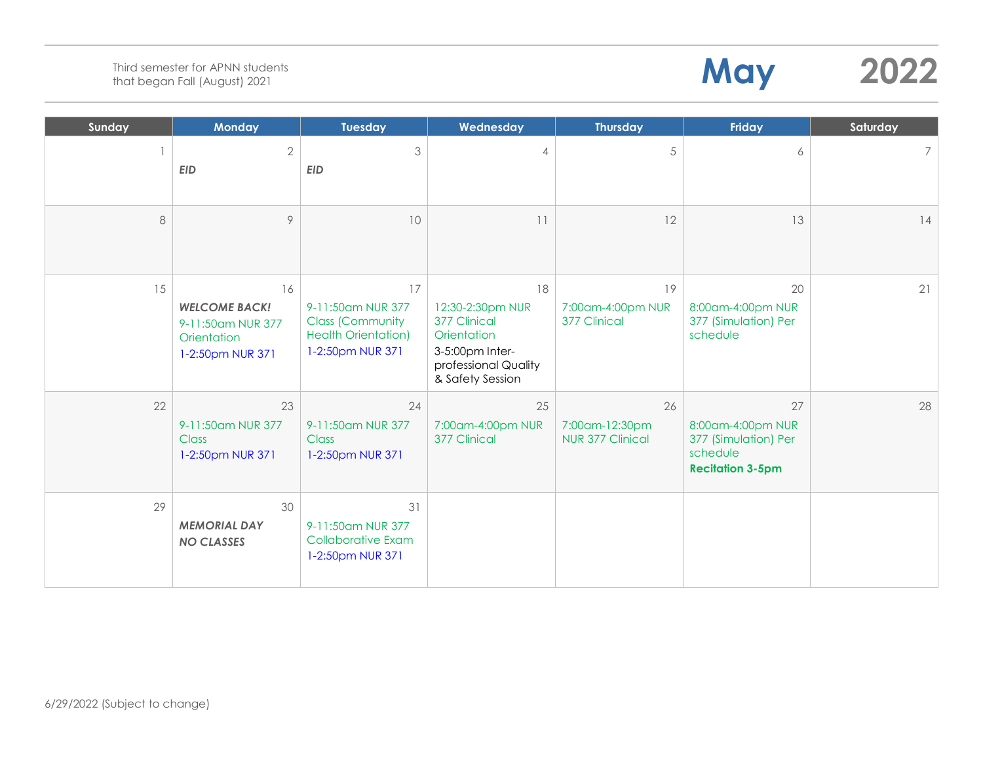| Sunday | <b>Monday</b>                                                                      | <b>Tuesday</b>                                                                                       | Wednesday                                                                                                            | <b>Thursday</b>                                 | Friday                                                                                 | Saturday |
|--------|------------------------------------------------------------------------------------|------------------------------------------------------------------------------------------------------|----------------------------------------------------------------------------------------------------------------------|-------------------------------------------------|----------------------------------------------------------------------------------------|----------|
|        | $\mathbf{2}$<br><b>EID</b>                                                         | $\mathfrak{Z}$<br><b>EID</b>                                                                         | 4                                                                                                                    | 5                                               | 6                                                                                      | 7        |
| 8      | $\circ$                                                                            | 10                                                                                                   | 11                                                                                                                   | 12                                              | 13                                                                                     | 4        |
| 15     | 16<br><b>WELCOME BACK!</b><br>9-11:50am NUR 377<br>Orientation<br>1-2:50pm NUR 371 | 17<br>9-11:50am NUR 377<br><b>Class (Community</b><br><b>Health Orientation)</b><br>1-2:50pm NUR 371 | 18<br>12:30-2:30pm NUR<br>377 Clinical<br>Orientation<br>3-5:00pm Inter-<br>professional Quality<br>& Safety Session | 19<br>7:00am-4:00pm NUR<br>377 Clinical         | 20<br>8:00am-4:00pm NUR<br>377 (Simulation) Per<br>schedule                            | 21       |
| 22     | 23<br>9-11:50am NUR 377<br>Class<br>1-2:50pm NUR 371                               | 24<br>9-11:50am NUR 377<br>Class<br>1-2:50pm NUR 371                                                 | 25<br>7:00am-4:00pm NUR<br>377 Clinical                                                                              | 26<br>7:00am-12:30pm<br><b>NUR 377 Clinical</b> | 27<br>8:00am-4:00pm NUR<br>377 (Simulation) Per<br>schedule<br><b>Recitation 3-5pm</b> | 28       |
| 29     | 30<br><b>MEMORIAL DAY</b><br><b>NO CLASSES</b>                                     | 31<br>9-11:50am NUR 377<br><b>Collaborative Exam</b><br>1-2:50pm NUR 371                             |                                                                                                                      |                                                 |                                                                                        |          |

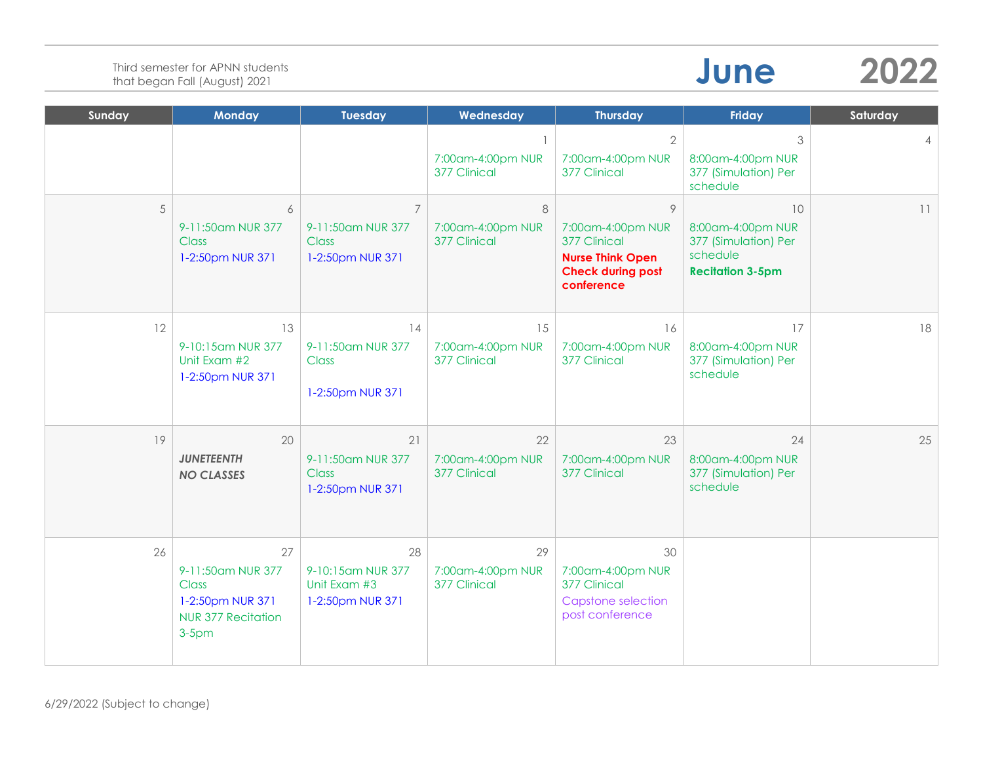| Sunday | <b>Monday</b>                                                                                 | <b>Tuesday</b>                                                          | Wednesday                               | <b>Thursday</b>                                                                                                   | <b>Friday</b>                                                                          | Saturday |
|--------|-----------------------------------------------------------------------------------------------|-------------------------------------------------------------------------|-----------------------------------------|-------------------------------------------------------------------------------------------------------------------|----------------------------------------------------------------------------------------|----------|
|        |                                                                                               |                                                                         | 7:00am-4:00pm NUR<br>377 Clinical       | $\overline{2}$<br>7:00am-4:00pm NUR<br>377 Clinical                                                               | 3<br>8:00am-4:00pm NUR<br>377 (Simulation) Per<br>schedule                             |          |
| 5      | 6<br>9-11:50am NUR 377<br><b>Class</b><br>1-2:50pm NUR 371                                    | $\overline{7}$<br>9-11:50am NUR 377<br><b>Class</b><br>1-2:50pm NUR 371 | 8<br>7:00am-4:00pm NUR<br>377 Clinical  | $\circ$<br>7:00am-4:00pm NUR<br>377 Clinical<br><b>Nurse Think Open</b><br><b>Check during post</b><br>conference | 10<br>8:00am-4:00pm NUR<br>377 (Simulation) Per<br>schedule<br><b>Recitation 3-5pm</b> | 11       |
| 12     | 13<br>9-10:15am NUR 377<br>Unit Exam #2<br>1-2:50pm NUR 371                                   | 14<br>9-11:50am NUR 377<br><b>Class</b><br>1-2:50pm NUR 371             | 15<br>7:00am-4:00pm NUR<br>377 Clinical | 16<br>7:00am-4:00pm NUR<br>377 Clinical                                                                           | 17<br>8:00am-4:00pm NUR<br>377 (Simulation) Per<br>schedule                            | 18       |
| 19     | 20<br><b>JUNETEENTH</b><br><b>NO CLASSES</b>                                                  | 21<br>9-11:50am NUR 377<br><b>Class</b><br>1-2:50pm NUR 371             | 22<br>7:00am-4:00pm NUR<br>377 Clinical | 23<br>7:00am-4:00pm NUR<br>377 Clinical                                                                           | 24<br>8:00am-4:00pm NUR<br>377 (Simulation) Per<br>schedule                            | 25       |
| 26     | 27<br>9-11:50am NUR 377<br>Class<br>1-2:50pm NUR 371<br><b>NUR 377 Recitation</b><br>$3-5$ pm | 28<br>9-10:15am NUR 377<br>Unit Exam #3<br>1-2:50pm NUR 371             | 29<br>7:00am-4:00pm NUR<br>377 Clinical | 30<br>7:00am-4:00pm NUR<br>377 Clinical<br>Capstone selection<br>post conference                                  |                                                                                        |          |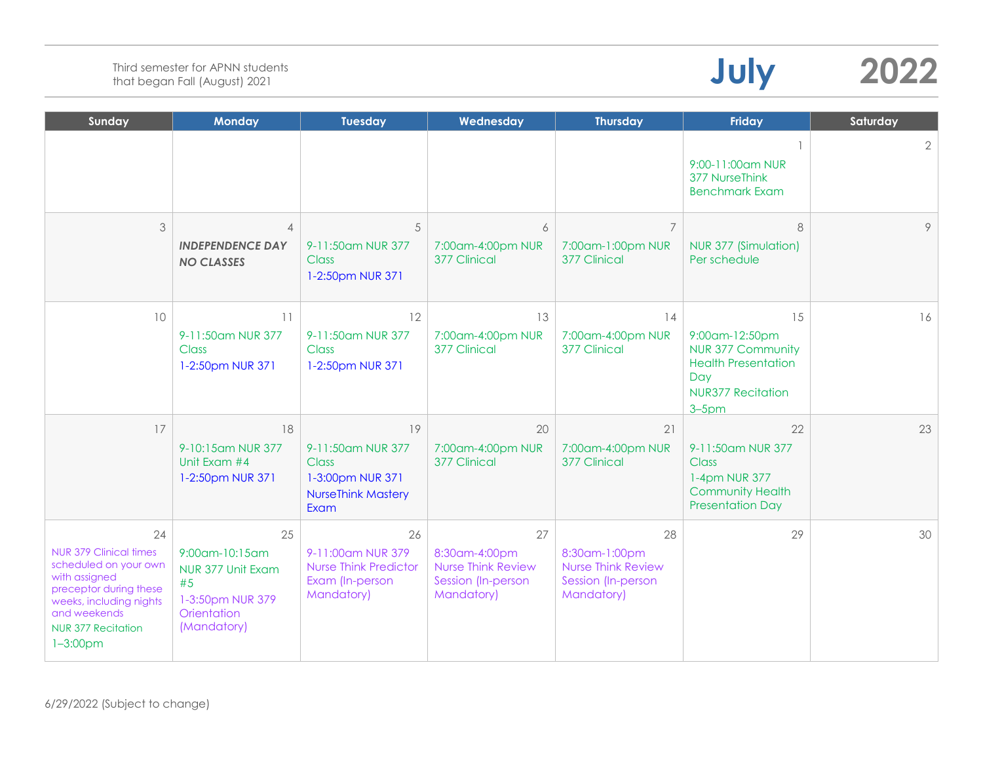| Sunday                                                                                                                                                                                          | <b>Monday</b>                                                                                     | <b>Tuesday</b>                                                                                   | Wednesday                                                                            | <b>Thursday</b>                                                                      | <b>Friday</b>                                                                                                                   | Saturday       |
|-------------------------------------------------------------------------------------------------------------------------------------------------------------------------------------------------|---------------------------------------------------------------------------------------------------|--------------------------------------------------------------------------------------------------|--------------------------------------------------------------------------------------|--------------------------------------------------------------------------------------|---------------------------------------------------------------------------------------------------------------------------------|----------------|
|                                                                                                                                                                                                 |                                                                                                   |                                                                                                  |                                                                                      |                                                                                      | 9:00-11:00am NUR<br>377 NurseThink<br><b>Benchmark Exam</b>                                                                     | $\overline{2}$ |
| 3                                                                                                                                                                                               | $\overline{4}$<br><b>INDEPENDENCE DAY</b><br><b>NO CLASSES</b>                                    | 5<br>9-11:50am NUR 377<br><b>Class</b><br>1-2:50pm NUR 371                                       | 6<br>7:00am-4:00pm NUR<br>377 Clinical                                               | $\overline{7}$<br>7:00am-1:00pm NUR<br>377 Clinical                                  | 8<br>NUR 377 (Simulation)<br>Per schedule                                                                                       | 9              |
| 10                                                                                                                                                                                              | 11<br>9-11:50am NUR 377<br><b>Class</b><br>1-2:50pm NUR 371                                       | 12<br>9-11:50am NUR 377<br><b>Class</b><br>1-2:50pm NUR 371                                      | 13<br>7:00am-4:00pm NUR<br>377 Clinical                                              | 14<br>7:00am-4:00pm NUR<br>377 Clinical                                              | 15<br>9:00am-12:50pm<br><b>NUR 377 Community</b><br><b>Health Presentation</b><br>Day<br><b>NUR377 Recitation</b><br>$3 - 5$ pm | 16             |
| 17                                                                                                                                                                                              | 18<br>9-10:15am NUR 377<br>Unit Exam #4<br>1-2:50pm NUR 371                                       | 19<br>9-11:50am NUR 377<br><b>Class</b><br>1-3:00pm NUR 371<br><b>NurseThink Mastery</b><br>Exam | 20<br>7:00am-4:00pm NUR<br>377 Clinical                                              | 21<br>7:00am-4:00pm NUR<br>377 Clinical                                              | 22<br>9-11:50am NUR 377<br>Class<br>1-4pm NUR 377<br>Community Health<br><b>Presentation Day</b>                                | 23             |
| 24<br><b>NUR 379 Clinical times</b><br>scheduled on your own<br>with assigned<br>preceptor during these<br>weeks, including nights<br>and weekends<br><b>NUR 377 Recitation</b><br>$1 - 3:00pm$ | 25<br>9:00am-10:15am<br>NUR 377 Unit Exam<br>#5<br>1-3:50pm NUR 379<br>Orientation<br>(Mandatory) | 26<br>9-11:00am NUR 379<br><b>Nurse Think Predictor</b><br>Exam (In-person<br>Mandatory)         | 27<br>8:30am-4:00pm<br><b>Nurse Think Review</b><br>Session (In-person<br>Mandatory) | 28<br>8:30am-1:00pm<br><b>Nurse Think Review</b><br>Session (In-person<br>Mandatory) | 29                                                                                                                              | 30             |

**July 2022**